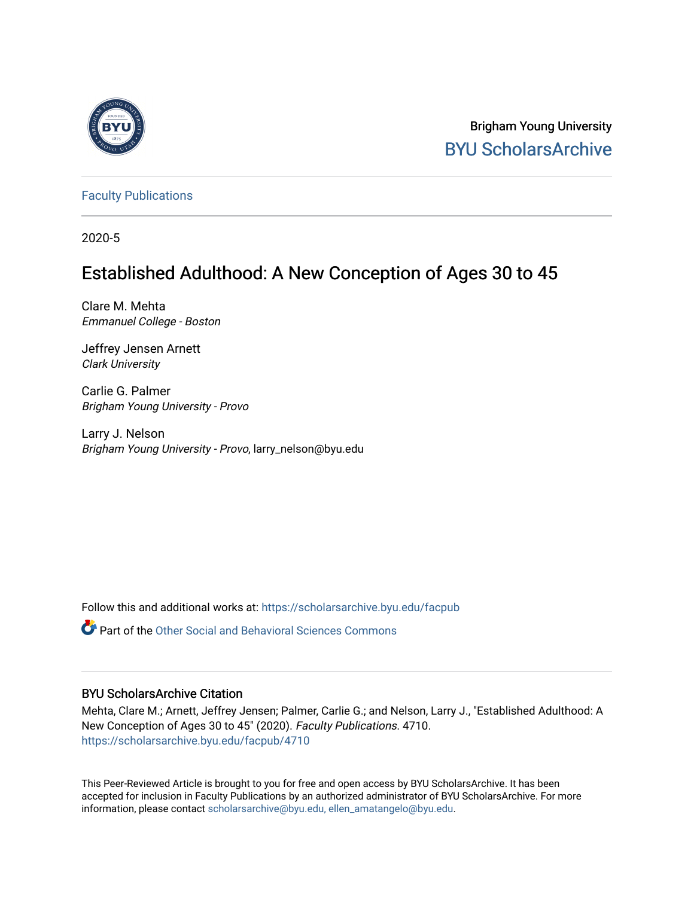

Brigham Young University [BYU ScholarsArchive](https://scholarsarchive.byu.edu/) 

[Faculty Publications](https://scholarsarchive.byu.edu/facpub)

2020-5

# Established Adulthood: A New Conception of Ages 30 to 45

Clare M. Mehta Emmanuel College - Boston

Jeffrey Jensen Arnett Clark University

Carlie G. Palmer Brigham Young University - Provo

Larry J. Nelson Brigham Young University - Provo, larry\_nelson@byu.edu

Follow this and additional works at: [https://scholarsarchive.byu.edu/facpub](https://scholarsarchive.byu.edu/facpub?utm_source=scholarsarchive.byu.edu%2Ffacpub%2F4710&utm_medium=PDF&utm_campaign=PDFCoverPages) 

Part of the [Other Social and Behavioral Sciences Commons](http://network.bepress.com/hgg/discipline/437?utm_source=scholarsarchive.byu.edu%2Ffacpub%2F4710&utm_medium=PDF&utm_campaign=PDFCoverPages)

# BYU ScholarsArchive Citation

Mehta, Clare M.; Arnett, Jeffrey Jensen; Palmer, Carlie G.; and Nelson, Larry J., "Established Adulthood: A New Conception of Ages 30 to 45" (2020). Faculty Publications. 4710. [https://scholarsarchive.byu.edu/facpub/4710](https://scholarsarchive.byu.edu/facpub/4710?utm_source=scholarsarchive.byu.edu%2Ffacpub%2F4710&utm_medium=PDF&utm_campaign=PDFCoverPages)

This Peer-Reviewed Article is brought to you for free and open access by BYU ScholarsArchive. It has been accepted for inclusion in Faculty Publications by an authorized administrator of BYU ScholarsArchive. For more information, please contact [scholarsarchive@byu.edu, ellen\\_amatangelo@byu.edu.](mailto:scholarsarchive@byu.edu,%20ellen_amatangelo@byu.edu)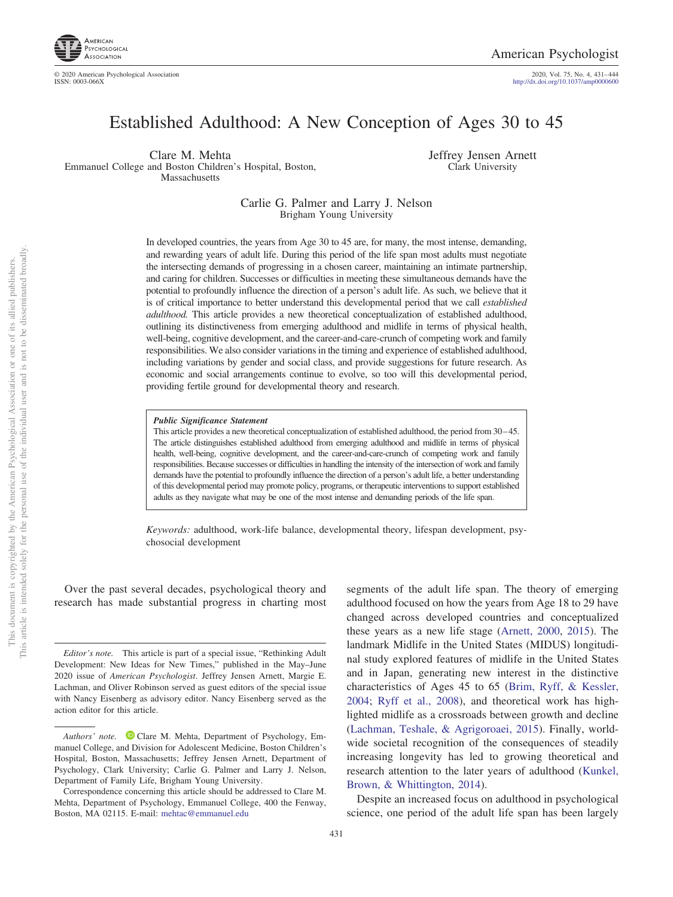

© 2020 American Psychological Association ISSN: 0003-066X

2020, Vol. 75, No. 4, 431-444<br>http://dx.doi.org[/10.1037/amp0000600](http://dx.doi.org/10.1037/amp0000600)

# Established Adulthood: A New Conception of Ages 30 to 45

Clare M. Mehta Emmanuel College and Boston Children's Hospital, Boston, Massachusetts

Jeffrey Jensen Arnett Clark University

### Carlie G. Palmer and Larry J. Nelson Brigham Young University

In developed countries, the years from Age 30 to 45 are, for many, the most intense, demanding, and rewarding years of adult life. During this period of the life span most adults must negotiate the intersecting demands of progressing in a chosen career, maintaining an intimate partnership, and caring for children. Successes or difficulties in meeting these simultaneous demands have the potential to profoundly influence the direction of a person's adult life. As such, we believe that it is of critical importance to better understand this developmental period that we call *established adulthood.* This article provides a new theoretical conceptualization of established adulthood, outlining its distinctiveness from emerging adulthood and midlife in terms of physical health, well-being, cognitive development, and the career-and-care-crunch of competing work and family responsibilities. We also consider variations in the timing and experience of established adulthood, including variations by gender and social class, and provide suggestions for future research. As economic and social arrangements continue to evolve, so too will this developmental period, providing fertile ground for developmental theory and research.

#### *Public Significance Statement*

This article provides a new theoretical conceptualization of established adulthood, the period from 30 – 45. The article distinguishes established adulthood from emerging adulthood and midlife in terms of physical health, well-being, cognitive development, and the career-and-care-crunch of competing work and family responsibilities. Because successes or difficulties in handling the intensity of the intersection of work and family demands have the potential to profoundly influence the direction of a person's adult life, a better understanding of this developmental period may promote policy, programs, or therapeutic interventions to support established adults as they navigate what may be one of the most intense and demanding periods of the life span.

*Keywords:* adulthood, work-life balance, developmental theory, lifespan development, psychosocial development

Over the past several decades, psychological theory and research has made substantial progress in charting most

segments of the adult life span. The theory of emerging adulthood focused on how the years from Age 18 to 29 have changed across developed countries and conceptualized these years as a new life stage [\(Arnett, 2000,](#page-11-0) [2015\)](#page-11-1). The landmark Midlife in the United States (MIDUS) longitudinal study explored features of midlife in the United States and in Japan, generating new interest in the distinctive characteristics of Ages 45 to 65 [\(Brim, Ryff, & Kessler,](#page-12-0) [2004;](#page-12-0) [Ryff et al., 2008\)](#page-13-0), and theoretical work has highlighted midlife as a crossroads between growth and decline [\(Lachman, Teshale, & Agrigoroaei, 2015\)](#page-13-1). Finally, worldwide societal recognition of the consequences of steadily increasing longevity has led to growing theoretical and research attention to the later years of adulthood [\(Kunkel,](#page-13-2) [Brown, & Whittington, 2014\)](#page-13-2).

Despite an increased focus on adulthood in psychological science, one period of the adult life span has been largely

*Editor's note.* This article is part of a special issue, "Rethinking Adult Development: New Ideas for New Times," published in the May–June 2020 issue of *American Psychologist*. Jeffrey Jensen Arnett, Margie E. Lachman, and Oliver Robinson served as guest editors of the special issue with Nancy Eisenberg as advisory editor. Nancy Eisenberg served as the action editor for this article.

Authors' note. <sup>D</sup> [Clare M. Mehta,](https://orcid.org/0000-0003-4897-6160) Department of Psychology, Emmanuel College, and Division for Adolescent Medicine, Boston Children's Hospital, Boston, Massachusetts; Jeffrey Jensen Arnett, Department of Psychology, Clark University; Carlie G. Palmer and Larry J. Nelson, Department of Family Life, Brigham Young University.

Correspondence concerning this article should be addressed to Clare M. Mehta, Department of Psychology, Emmanuel College, 400 the Fenway, Boston, MA 02115. E-mail: [mehtac@emmanuel.edu](mailto:mehtac@emmanuel.edu)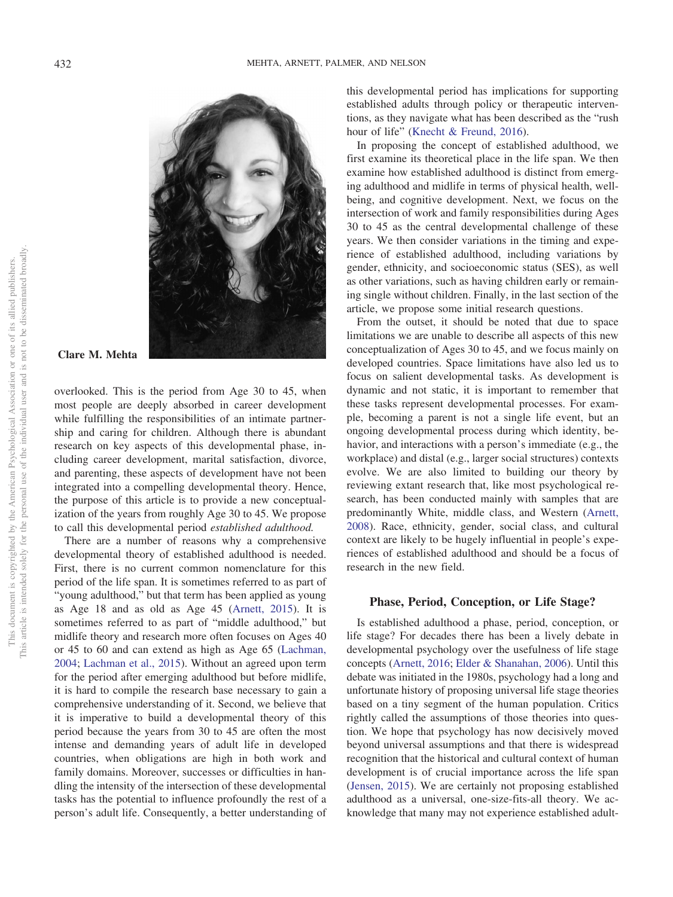

## **Clare M. Mehta**

overlooked. This is the period from Age 30 to 45, when most people are deeply absorbed in career development while fulfilling the responsibilities of an intimate partnership and caring for children. Although there is abundant research on key aspects of this developmental phase, including career development, marital satisfaction, divorce, and parenting, these aspects of development have not been integrated into a compelling developmental theory. Hence, the purpose of this article is to provide a new conceptualization of the years from roughly Age 30 to 45. We propose to call this developmental period *established adulthood.*

There are a number of reasons why a comprehensive developmental theory of established adulthood is needed. First, there is no current common nomenclature for this period of the life span. It is sometimes referred to as part of "young adulthood," but that term has been applied as young as Age 18 and as old as Age 45 [\(Arnett, 2015\)](#page-11-1). It is sometimes referred to as part of "middle adulthood," but midlife theory and research more often focuses on Ages 40 or 45 to 60 and can extend as high as Age 65 [\(Lachman,](#page-13-3) [2004;](#page-13-3) [Lachman et al., 2015\)](#page-13-1). Without an agreed upon term for the period after emerging adulthood but before midlife, it is hard to compile the research base necessary to gain a comprehensive understanding of it. Second, we believe that it is imperative to build a developmental theory of this period because the years from 30 to 45 are often the most intense and demanding years of adult life in developed countries, when obligations are high in both work and family domains. Moreover, successes or difficulties in handling the intensity of the intersection of these developmental tasks has the potential to influence profoundly the rest of a person's adult life. Consequently, a better understanding of this developmental period has implications for supporting established adults through policy or therapeutic interventions, as they navigate what has been described as the "rush hour of life" [\(Knecht & Freund, 2016\)](#page-13-4).

In proposing the concept of established adulthood, we first examine its theoretical place in the life span. We then examine how established adulthood is distinct from emerging adulthood and midlife in terms of physical health, wellbeing, and cognitive development. Next, we focus on the intersection of work and family responsibilities during Ages 30 to 45 as the central developmental challenge of these years. We then consider variations in the timing and experience of established adulthood, including variations by gender, ethnicity, and socioeconomic status (SES), as well as other variations, such as having children early or remaining single without children. Finally, in the last section of the article, we propose some initial research questions.

From the outset, it should be noted that due to space limitations we are unable to describe all aspects of this new conceptualization of Ages 30 to 45, and we focus mainly on developed countries. Space limitations have also led us to focus on salient developmental tasks. As development is dynamic and not static, it is important to remember that these tasks represent developmental processes. For example, becoming a parent is not a single life event, but an ongoing developmental process during which identity, behavior, and interactions with a person's immediate (e.g., the workplace) and distal (e.g., larger social structures) contexts evolve. We are also limited to building our theory by reviewing extant research that, like most psychological research, has been conducted mainly with samples that are predominantly White, middle class, and Western [\(Arnett,](#page-11-2) [2008\)](#page-11-2). Race, ethnicity, gender, social class, and cultural context are likely to be hugely influential in people's experiences of established adulthood and should be a focus of research in the new field.

#### **Phase, Period, Conception, or Life Stage?**

Is established adulthood a phase, period, conception, or life stage? For decades there has been a lively debate in developmental psychology over the usefulness of life stage concepts [\(Arnett, 2016;](#page-11-3) [Elder & Shanahan, 2006\)](#page-12-1). Until this debate was initiated in the 1980s, psychology had a long and unfortunate history of proposing universal life stage theories based on a tiny segment of the human population. Critics rightly called the assumptions of those theories into question. We hope that psychology has now decisively moved beyond universal assumptions and that there is widespread recognition that the historical and cultural context of human development is of crucial importance across the life span [\(Jensen, 2015\)](#page-13-5). We are certainly not proposing established adulthood as a universal, one-size-fits-all theory. We acknowledge that many may not experience established adult-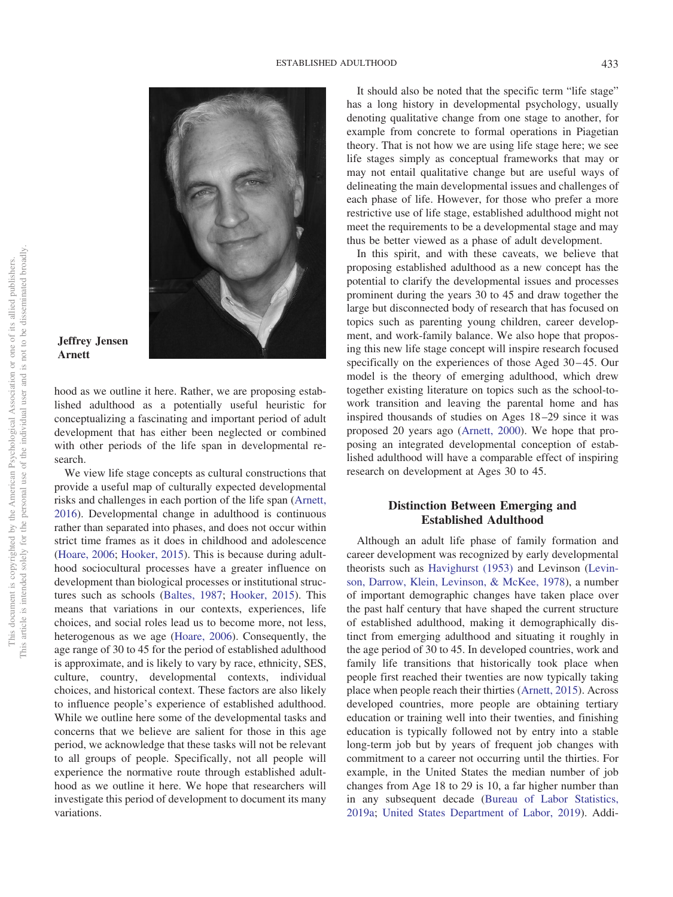

## **Jeffrey Jensen Arnett**

hood as we outline it here. Rather, we are proposing established adulthood as a potentially useful heuristic for conceptualizing a fascinating and important period of adult development that has either been neglected or combined with other periods of the life span in developmental research.

We view life stage concepts as cultural constructions that provide a useful map of culturally expected developmental risks and challenges in each portion of the life span [\(Arnett,](#page-11-3) [2016\)](#page-11-3). Developmental change in adulthood is continuous rather than separated into phases, and does not occur within strict time frames as it does in childhood and adolescence [\(Hoare, 2006;](#page-12-2) [Hooker, 2015\)](#page-12-3). This is because during adulthood sociocultural processes have a greater influence on development than biological processes or institutional structures such as schools [\(Baltes, 1987;](#page-12-4) [Hooker, 2015\)](#page-12-3). This means that variations in our contexts, experiences, life choices, and social roles lead us to become more, not less, heterogenous as we age [\(Hoare, 2006\)](#page-12-2). Consequently, the age range of 30 to 45 for the period of established adulthood is approximate, and is likely to vary by race, ethnicity, SES, culture, country, developmental contexts, individual choices, and historical context. These factors are also likely to influence people's experience of established adulthood. While we outline here some of the developmental tasks and concerns that we believe are salient for those in this age period, we acknowledge that these tasks will not be relevant to all groups of people. Specifically, not all people will experience the normative route through established adulthood as we outline it here. We hope that researchers will investigate this period of development to document its many variations.

It should also be noted that the specific term "life stage" has a long history in developmental psychology, usually denoting qualitative change from one stage to another, for example from concrete to formal operations in Piagetian theory. That is not how we are using life stage here; we see life stages simply as conceptual frameworks that may or may not entail qualitative change but are useful ways of delineating the main developmental issues and challenges of each phase of life. However, for those who prefer a more restrictive use of life stage, established adulthood might not meet the requirements to be a developmental stage and may thus be better viewed as a phase of adult development.

In this spirit, and with these caveats, we believe that proposing established adulthood as a new concept has the potential to clarify the developmental issues and processes prominent during the years 30 to 45 and draw together the large but disconnected body of research that has focused on topics such as parenting young children, career development, and work-family balance. We also hope that proposing this new life stage concept will inspire research focused specifically on the experiences of those Aged 30–45. Our model is the theory of emerging adulthood, which drew together existing literature on topics such as the school-towork transition and leaving the parental home and has inspired thousands of studies on Ages 18 –29 since it was proposed 20 years ago [\(Arnett, 2000\)](#page-11-0). We hope that proposing an integrated developmental conception of established adulthood will have a comparable effect of inspiring research on development at Ages 30 to 45.

# **Distinction Between Emerging and Established Adulthood**

Although an adult life phase of family formation and career development was recognized by early developmental theorists such as [Havighurst \(1953\)](#page-12-5) and Levinson [\(Levin](#page-13-6)[son, Darrow, Klein, Levinson, & McKee, 1978\)](#page-13-6), a number of important demographic changes have taken place over the past half century that have shaped the current structure of established adulthood, making it demographically distinct from emerging adulthood and situating it roughly in the age period of 30 to 45. In developed countries, work and family life transitions that historically took place when people first reached their twenties are now typically taking place when people reach their thirties [\(Arnett, 2015\)](#page-11-1). Across developed countries, more people are obtaining tertiary education or training well into their twenties, and finishing education is typically followed not by entry into a stable long-term job but by years of frequent job changes with commitment to a career not occurring until the thirties. For example, in the United States the median number of job changes from Age 18 to 29 is 10, a far higher number than in any subsequent decade [\(Bureau of Labor Statistics,](#page-12-6) [2019a;](#page-12-6) [United States Department of Labor, 2019\)](#page-14-0). Addi-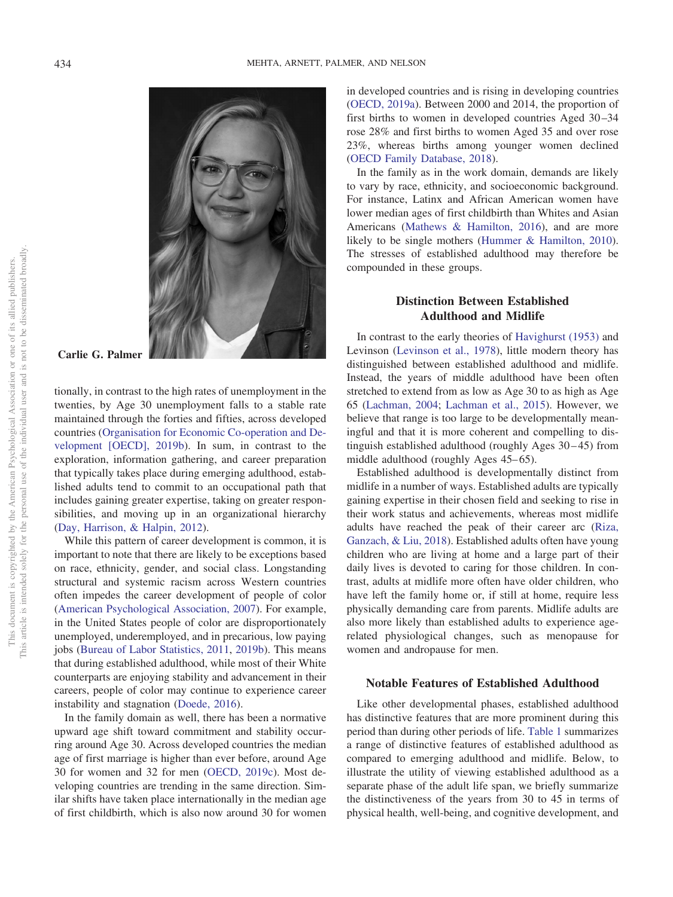

**Carlie G. Palmer**

tionally, in contrast to the high rates of unemployment in the twenties, by Age 30 unemployment falls to a stable rate maintained through the forties and fifties, across developed countries [\(Organisation for Economic Co-operation and De](#page-13-7)[velopment \[OECD\], 2019b\)](#page-13-7). In sum, in contrast to the exploration, information gathering, and career preparation that typically takes place during emerging adulthood, established adults tend to commit to an occupational path that includes gaining greater expertise, taking on greater responsibilities, and moving up in an organizational hierarchy [\(Day, Harrison, & Halpin, 2012\)](#page-12-7).

While this pattern of career development is common, it is important to note that there are likely to be exceptions based on race, ethnicity, gender, and social class. Longstanding structural and systemic racism across Western countries often impedes the career development of people of color [\(American Psychological Association, 2007\)](#page-11-4). For example, in the United States people of color are disproportionately unemployed, underemployed, and in precarious, low paying jobs [\(Bureau of Labor Statistics, 2011,](#page-12-8) [2019b\)](#page-12-9). This means that during established adulthood, while most of their White counterparts are enjoying stability and advancement in their careers, people of color may continue to experience career instability and stagnation [\(Doede, 2016\)](#page-12-10).

In the family domain as well, there has been a normative upward age shift toward commitment and stability occurring around Age 30. Across developed countries the median age of first marriage is higher than ever before, around Age 30 for women and 32 for men [\(OECD, 2019c\)](#page-13-8). Most developing countries are trending in the same direction. Similar shifts have taken place internationally in the median age of first childbirth, which is also now around 30 for women

in developed countries and is rising in developing countries [\(OECD, 2019a\)](#page-13-9). Between 2000 and 2014, the proportion of first births to women in developed countries Aged 30 –34 rose 28% and first births to women Aged 35 and over rose 23%, whereas births among younger women declined [\(OECD Family Database, 2018\)](#page-13-10).

In the family as in the work domain, demands are likely to vary by race, ethnicity, and socioeconomic background. For instance, Latinx and African American women have lower median ages of first childbirth than Whites and Asian Americans [\(Mathews & Hamilton, 2016\)](#page-13-11), and are more likely to be single mothers [\(Hummer & Hamilton, 2010\)](#page-13-12). The stresses of established adulthood may therefore be compounded in these groups.

## **Distinction Between Established Adulthood and Midlife**

In contrast to the early theories of [Havighurst \(1953\)](#page-12-5) and Levinson [\(Levinson et al., 1978\)](#page-13-6), little modern theory has distinguished between established adulthood and midlife. Instead, the years of middle adulthood have been often stretched to extend from as low as Age 30 to as high as Age 65 [\(Lachman, 2004;](#page-13-3) [Lachman et al., 2015\)](#page-13-1). However, we believe that range is too large to be developmentally meaningful and that it is more coherent and compelling to distinguish established adulthood (roughly Ages 30 – 45) from middle adulthood (roughly Ages 45–65).

Established adulthood is developmentally distinct from midlife in a number of ways. Established adults are typically gaining expertise in their chosen field and seeking to rise in their work status and achievements, whereas most midlife adults have reached the peak of their career arc [\(Riza,](#page-13-13) [Ganzach, & Liu, 2018\)](#page-13-13). Established adults often have young children who are living at home and a large part of their daily lives is devoted to caring for those children. In contrast, adults at midlife more often have older children, who have left the family home or, if still at home, require less physically demanding care from parents. Midlife adults are also more likely than established adults to experience agerelated physiological changes, such as menopause for women and andropause for men.

## **Notable Features of Established Adulthood**

Like other developmental phases, established adulthood has distinctive features that are more prominent during this period than during other periods of life. [Table 1](#page-6-0) summarizes a range of distinctive features of established adulthood as compared to emerging adulthood and midlife. Below, to illustrate the utility of viewing established adulthood as a separate phase of the adult life span, we briefly summarize the distinctiveness of the years from 30 to 45 in terms of physical health, well-being, and cognitive development, and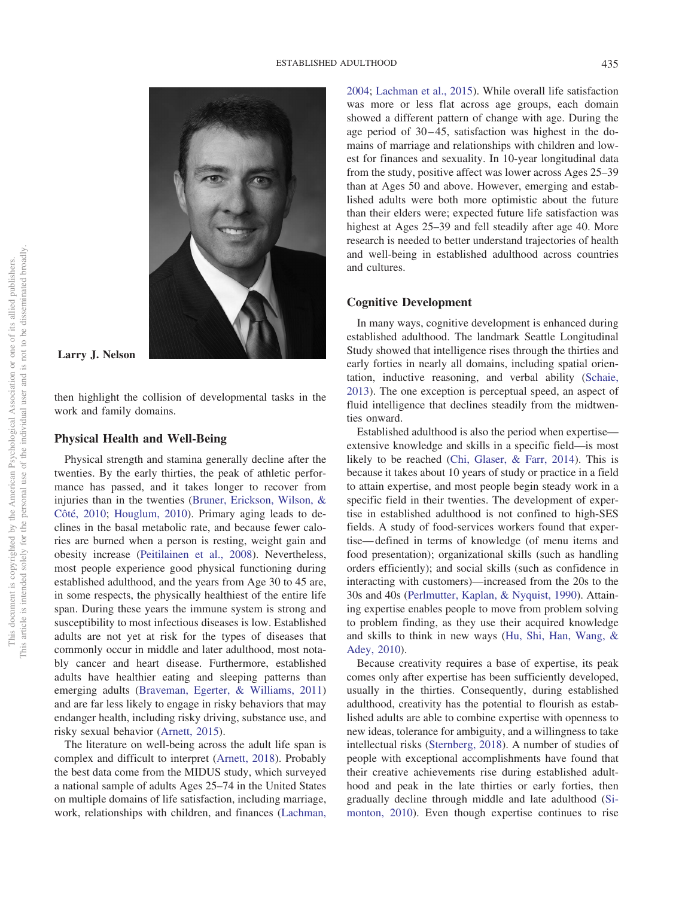

## **Larry J. Nelson**

then highlight the collision of developmental tasks in the work and family domains.

## **Physical Health and Well-Being**

Physical strength and stamina generally decline after the twenties. By the early thirties, the peak of athletic performance has passed, and it takes longer to recover from injuries than in the twenties [\(Bruner, Erickson, Wilson, &](#page-12-11) [Côté, 2010;](#page-12-11) [Houglum, 2010\)](#page-12-12). Primary aging leads to declines in the basal metabolic rate, and because fewer calories are burned when a person is resting, weight gain and obesity increase [\(Peitilainen et al., 2008\)](#page-13-14). Nevertheless, most people experience good physical functioning during established adulthood, and the years from Age 30 to 45 are, in some respects, the physically healthiest of the entire life span. During these years the immune system is strong and susceptibility to most infectious diseases is low. Established adults are not yet at risk for the types of diseases that commonly occur in middle and later adulthood, most notably cancer and heart disease. Furthermore, established adults have healthier eating and sleeping patterns than emerging adults [\(Braveman, Egerter, & Williams, 2011\)](#page-12-13) and are far less likely to engage in risky behaviors that may endanger health, including risky driving, substance use, and risky sexual behavior [\(Arnett, 2015\)](#page-11-1).

The literature on well-being across the adult life span is complex and difficult to interpret [\(Arnett, 2018\)](#page-12-14). Probably the best data come from the MIDUS study, which surveyed a national sample of adults Ages 25–74 in the United States on multiple domains of life satisfaction, including marriage, work, relationships with children, and finances [\(Lachman,](#page-13-3) [2004;](#page-13-3) [Lachman et al., 2015\)](#page-13-1). While overall life satisfaction was more or less flat across age groups, each domain showed a different pattern of change with age. During the age period of  $30-45$ , satisfaction was highest in the domains of marriage and relationships with children and lowest for finances and sexuality. In 10-year longitudinal data from the study, positive affect was lower across Ages 25–39 than at Ages 50 and above. However, emerging and established adults were both more optimistic about the future than their elders were; expected future life satisfaction was highest at Ages 25–39 and fell steadily after age 40. More research is needed to better understand trajectories of health and well-being in established adulthood across countries and cultures.

## **Cognitive Development**

In many ways, cognitive development is enhanced during established adulthood. The landmark Seattle Longitudinal Study showed that intelligence rises through the thirties and early forties in nearly all domains, including spatial orientation, inductive reasoning, and verbal ability [\(Schaie,](#page-13-15) [2013\)](#page-13-15). The one exception is perceptual speed, an aspect of fluid intelligence that declines steadily from the midtwenties onward.

Established adulthood is also the period when expertise extensive knowledge and skills in a specific field—is most likely to be reached [\(Chi, Glaser, & Farr, 2014\)](#page-12-15). This is because it takes about 10 years of study or practice in a field to attain expertise, and most people begin steady work in a specific field in their twenties. The development of expertise in established adulthood is not confined to high-SES fields. A study of food-services workers found that expertise— defined in terms of knowledge (of menu items and food presentation); organizational skills (such as handling orders efficiently); and social skills (such as confidence in interacting with customers)—increased from the 20s to the 30s and 40s [\(Perlmutter, Kaplan, & Nyquist, 1990\)](#page-13-16). Attaining expertise enables people to move from problem solving to problem finding, as they use their acquired knowledge and skills to think in new ways [\(Hu, Shi, Han, Wang, &](#page-13-17) [Adey, 2010\)](#page-13-17).

Because creativity requires a base of expertise, its peak comes only after expertise has been sufficiently developed, usually in the thirties. Consequently, during established adulthood, creativity has the potential to flourish as established adults are able to combine expertise with openness to new ideas, tolerance for ambiguity, and a willingness to take intellectual risks [\(Sternberg, 2018\)](#page-14-1). A number of studies of people with exceptional accomplishments have found that their creative achievements rise during established adulthood and peak in the late thirties or early forties, then gradually decline through middle and late adulthood [\(Si](#page-14-2)[monton, 2010\)](#page-14-2). Even though expertise continues to rise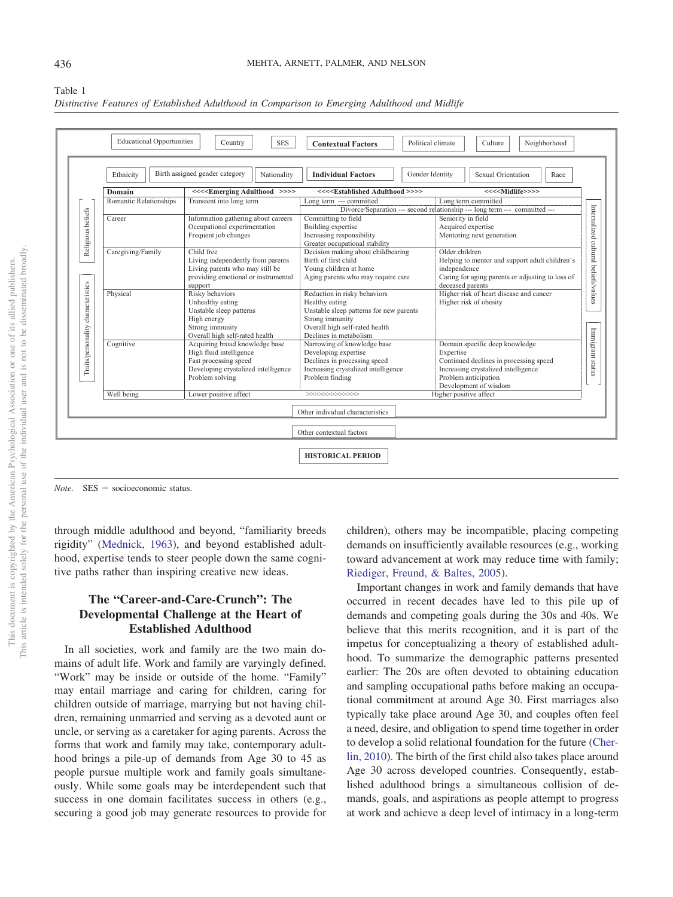|                                    |                        | Birth assigned gender category                                         |                                                                                                                              | Gender Identity<br>Sexual Orientation<br>Race                         |  |  |
|------------------------------------|------------------------|------------------------------------------------------------------------|------------------------------------------------------------------------------------------------------------------------------|-----------------------------------------------------------------------|--|--|
|                                    | Ethnicity              | Nationality                                                            | <b>Individual Factors</b>                                                                                                    |                                                                       |  |  |
|                                    | Domain                 | <<< <emerging adulthood="">&gt;&gt;&gt;</emerging>                     | <<< <established adulthood="">&gt;&gt;&gt;</established>                                                                     | <<< <midlife>&gt;&gt;&gt;</midlife>                                   |  |  |
| Religious beliefs                  | Romantic Relationships | Transient into long term                                               | Long term --- committed<br>Long term committed<br>Divorce/Separation --- second relationship --- long term --- committed --- |                                                                       |  |  |
|                                    | Career                 | Information gathering about careers                                    | Committing to field                                                                                                          | Seniority in field<br>Acquired expertise<br>Mentoring next generation |  |  |
|                                    |                        | Occupational experimentation                                           | Building expertise                                                                                                           |                                                                       |  |  |
|                                    |                        | Frequent job changes                                                   | Increasing responsibility                                                                                                    |                                                                       |  |  |
|                                    |                        |                                                                        | Greater occupational stability                                                                                               |                                                                       |  |  |
|                                    | Caregiving/Family      | Child free                                                             | Decision making about childbearing                                                                                           | Older children                                                        |  |  |
|                                    |                        | Living independently from parents                                      | Birth of first child                                                                                                         | Helping to mentor and support adult children's                        |  |  |
|                                    |                        | Living parents who may still be<br>providing emotional or instrumental | Young children at home<br>Aging parents who may require care                                                                 | independence<br>Caring for aging parents or adjusting to loss of      |  |  |
|                                    |                        | support                                                                |                                                                                                                              | deceased parents                                                      |  |  |
|                                    | Physical               | Risky behaviors                                                        | Reduction in risky behaviors                                                                                                 | Higher risk of heart disease and cancer<br>Higher risk of obesity     |  |  |
|                                    |                        | Unhealthy eating                                                       | Healthy eating                                                                                                               |                                                                       |  |  |
| Traits/personality characteristics |                        | Unstable sleep patterns                                                | Unstable sleep patterns for new parents                                                                                      |                                                                       |  |  |
|                                    |                        | High energy                                                            | Strong immunity                                                                                                              |                                                                       |  |  |
|                                    |                        | Strong immunity                                                        | Overall high self-rated health                                                                                               | Domain specific deep knowledge                                        |  |  |
|                                    |                        | Overall high self-rated health                                         | Declines in metabolism                                                                                                       |                                                                       |  |  |
|                                    | Cognitive              | Acquiring broad knowledge base<br>High fluid intelligence              | Narrowing of knowledge base<br>Developing expertise                                                                          | Expertise<br>Continued declines in processing speed                   |  |  |
|                                    |                        | Fast processing speed                                                  | Declines in processing speed                                                                                                 |                                                                       |  |  |
|                                    |                        | Developing crystalized intelligence                                    | Increasing crystalized intelligence                                                                                          | Increasing crystalized intelligence                                   |  |  |
|                                    |                        | Problem solving                                                        | Problem finding                                                                                                              | Problem anticipation                                                  |  |  |
|                                    |                        |                                                                        |                                                                                                                              | Development of wisdom                                                 |  |  |
|                                    | Well being             | Lower positive affect                                                  |                                                                                                                              | Higher positive affect                                                |  |  |
|                                    |                        |                                                                        | Other individual characteristics                                                                                             |                                                                       |  |  |
|                                    |                        |                                                                        | Other contextual factors                                                                                                     |                                                                       |  |  |

<span id="page-6-0"></span>

| Table 1                                                                                       |  |  |  |
|-----------------------------------------------------------------------------------------------|--|--|--|
| Distinctive Features of Established Adulthood in Comparison to Emerging Adulthood and Midlife |  |  |  |

*Note.* SES = socioeconomic status.

through middle adulthood and beyond, "familiarity breeds rigidity" [\(Mednick, 1963\)](#page-13-18), and beyond established adulthood, expertise tends to steer people down the same cognitive paths rather than inspiring creative new ideas.

# **The "Career-and-Care-Crunch": The Developmental Challenge at the Heart of Established Adulthood**

In all societies, work and family are the two main domains of adult life. Work and family are varyingly defined. "Work" may be inside or outside of the home. "Family" may entail marriage and caring for children, caring for children outside of marriage, marrying but not having children, remaining unmarried and serving as a devoted aunt or uncle, or serving as a caretaker for aging parents. Across the forms that work and family may take, contemporary adulthood brings a pile-up of demands from Age 30 to 45 as people pursue multiple work and family goals simultaneously. While some goals may be interdependent such that success in one domain facilitates success in others (e.g., securing a good job may generate resources to provide for children), others may be incompatible, placing competing demands on insufficiently available resources (e.g., working toward advancement at work may reduce time with family; [Riediger, Freund, & Baltes, 2005\)](#page-13-19).

Important changes in work and family demands that have occurred in recent decades have led to this pile up of demands and competing goals during the 30s and 40s. We believe that this merits recognition, and it is part of the impetus for conceptualizing a theory of established adulthood. To summarize the demographic patterns presented earlier: The 20s are often devoted to obtaining education and sampling occupational paths before making an occupational commitment at around Age 30. First marriages also typically take place around Age 30, and couples often feel a need, desire, and obligation to spend time together in order to develop a solid relational foundation for the future [\(Cher](#page-12-16)[lin, 2010\)](#page-12-16). The birth of the first child also takes place around Age 30 across developed countries. Consequently, established adulthood brings a simultaneous collision of demands, goals, and aspirations as people attempt to progress at work and achieve a deep level of intimacy in a long-term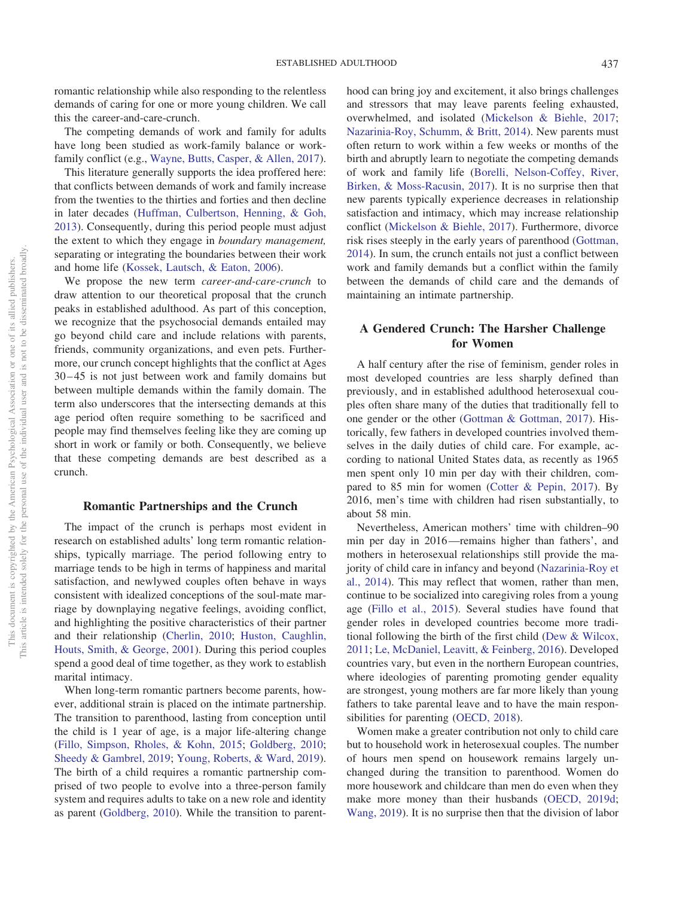romantic relationship while also responding to the relentless demands of caring for one or more young children. We call this the career-and-care-crunch.

The competing demands of work and family for adults have long been studied as work-family balance or workfamily conflict (e.g., [Wayne, Butts, Casper, & Allen, 2017\)](#page-14-3).

This literature generally supports the idea proffered here: that conflicts between demands of work and family increase from the twenties to the thirties and forties and then decline in later decades [\(Huffman, Culbertson, Henning, & Goh,](#page-13-20) [2013\)](#page-13-20). Consequently, during this period people must adjust the extent to which they engage in *boundary management,* separating or integrating the boundaries between their work and home life [\(Kossek, Lautsch, & Eaton, 2006\)](#page-13-21).

We propose the new term *career-and-care-crunch* to draw attention to our theoretical proposal that the crunch peaks in established adulthood. As part of this conception, we recognize that the psychosocial demands entailed may go beyond child care and include relations with parents, friends, community organizations, and even pets. Furthermore, our crunch concept highlights that the conflict at Ages 30 – 45 is not just between work and family domains but between multiple demands within the family domain. The term also underscores that the intersecting demands at this age period often require something to be sacrificed and people may find themselves feeling like they are coming up short in work or family or both. Consequently, we believe that these competing demands are best described as a crunch.

#### **Romantic Partnerships and the Crunch**

The impact of the crunch is perhaps most evident in research on established adults' long term romantic relationships, typically marriage. The period following entry to marriage tends to be high in terms of happiness and marital satisfaction, and newlywed couples often behave in ways consistent with idealized conceptions of the soul-mate marriage by downplaying negative feelings, avoiding conflict, and highlighting the positive characteristics of their partner and their relationship [\(Cherlin, 2010;](#page-12-16) [Huston, Caughlin,](#page-13-22) [Houts, Smith, & George, 2001\)](#page-13-22). During this period couples spend a good deal of time together, as they work to establish marital intimacy.

When long-term romantic partners become parents, however, additional strain is placed on the intimate partnership. The transition to parenthood, lasting from conception until the child is 1 year of age, is a major life-altering change [\(Fillo, Simpson, Rholes, & Kohn, 2015;](#page-12-17) [Goldberg, 2010;](#page-12-18) [Sheedy & Gambrel, 2019;](#page-13-23) [Young, Roberts, & Ward, 2019\)](#page-14-4). The birth of a child requires a romantic partnership comprised of two people to evolve into a three-person family system and requires adults to take on a new role and identity as parent [\(Goldberg, 2010\)](#page-12-18). While the transition to parent-

hood can bring joy and excitement, it also brings challenges and stressors that may leave parents feeling exhausted, overwhelmed, and isolated [\(Mickelson & Biehle, 2017;](#page-13-24) [Nazarinia-Roy, Schumm, & Britt, 2014\)](#page-13-25). New parents must often return to work within a few weeks or months of the birth and abruptly learn to negotiate the competing demands of work and family life [\(Borelli, Nelson-Coffey, River,](#page-12-19) [Birken, & Moss-Racusin, 2017\)](#page-12-19). It is no surprise then that new parents typically experience decreases in relationship satisfaction and intimacy, which may increase relationship conflict [\(Mickelson & Biehle, 2017\)](#page-13-24). Furthermore, divorce risk rises steeply in the early years of parenthood [\(Gottman,](#page-12-20) [2014\)](#page-12-20). In sum, the crunch entails not just a conflict between work and family demands but a conflict within the family between the demands of child care and the demands of maintaining an intimate partnership.

# **A Gendered Crunch: The Harsher Challenge for Women**

A half century after the rise of feminism, gender roles in most developed countries are less sharply defined than previously, and in established adulthood heterosexual couples often share many of the duties that traditionally fell to one gender or the other [\(Gottman & Gottman, 2017\)](#page-12-21). Historically, few fathers in developed countries involved themselves in the daily duties of child care. For example, according to national United States data, as recently as 1965 men spent only 10 min per day with their children, compared to 85 min for women [\(Cotter & Pepin, 2017\)](#page-12-22). By 2016, men's time with children had risen substantially, to about 58 min.

Nevertheless, American mothers' time with children–90 min per day in 2016—remains higher than fathers', and mothers in heterosexual relationships still provide the majority of child care in infancy and beyond [\(Nazarinia-Roy et](#page-13-25) [al., 2014\)](#page-13-25). This may reflect that women, rather than men, continue to be socialized into caregiving roles from a young age [\(Fillo et al., 2015\)](#page-12-17). Several studies have found that gender roles in developed countries become more traditional following the birth of the first child [\(Dew & Wilcox,](#page-12-23) [2011;](#page-12-23) [Le, McDaniel, Leavitt, & Feinberg, 2016\)](#page-13-26). Developed countries vary, but even in the northern European countries, where ideologies of parenting promoting gender equality are strongest, young mothers are far more likely than young fathers to take parental leave and to have the main responsibilities for parenting [\(OECD, 2018\)](#page-13-27).

Women make a greater contribution not only to child care but to household work in heterosexual couples. The number of hours men spend on housework remains largely unchanged during the transition to parenthood. Women do more housework and childcare than men do even when they make more money than their husbands [\(OECD, 2019d;](#page-13-28) [Wang, 2019\)](#page-14-5). It is no surprise then that the division of labor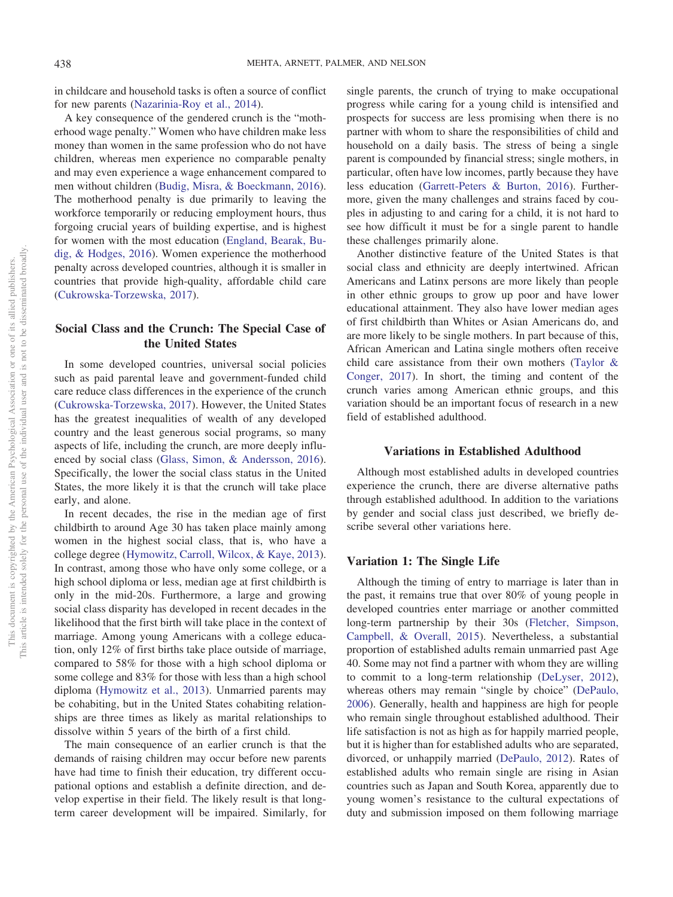in childcare and household tasks is often a source of conflict for new parents [\(Nazarinia-Roy et al., 2014\)](#page-13-25).

A key consequence of the gendered crunch is the "motherhood wage penalty." Women who have children make less money than women in the same profession who do not have children, whereas men experience no comparable penalty and may even experience a wage enhancement compared to men without children [\(Budig, Misra, & Boeckmann, 2016\)](#page-12-24). The motherhood penalty is due primarily to leaving the workforce temporarily or reducing employment hours, thus forgoing crucial years of building expertise, and is highest for women with the most education [\(England, Bearak, Bu](#page-12-25)[dig, & Hodges, 2016\)](#page-12-25). Women experience the motherhood penalty across developed countries, although it is smaller in countries that provide high-quality, affordable child care [\(Cukrowska-Torzewska, 2017\)](#page-12-26).

# **Social Class and the Crunch: The Special Case of the United States**

In some developed countries, universal social policies such as paid parental leave and government-funded child care reduce class differences in the experience of the crunch [\(Cukrowska-Torzewska, 2017\)](#page-12-26). However, the United States has the greatest inequalities of wealth of any developed country and the least generous social programs, so many aspects of life, including the crunch, are more deeply influenced by social class [\(Glass, Simon, & Andersson, 2016\)](#page-12-27). Specifically, the lower the social class status in the United States, the more likely it is that the crunch will take place early, and alone.

In recent decades, the rise in the median age of first childbirth to around Age 30 has taken place mainly among women in the highest social class, that is, who have a college degree [\(Hymowitz, Carroll, Wilcox, & Kaye, 2013\)](#page-13-29). In contrast, among those who have only some college, or a high school diploma or less, median age at first childbirth is only in the mid-20s. Furthermore, a large and growing social class disparity has developed in recent decades in the likelihood that the first birth will take place in the context of marriage. Among young Americans with a college education, only 12% of first births take place outside of marriage, compared to 58% for those with a high school diploma or some college and 83% for those with less than a high school diploma [\(Hymowitz et al., 2013\)](#page-13-29). Unmarried parents may be cohabiting, but in the United States cohabiting relationships are three times as likely as marital relationships to dissolve within 5 years of the birth of a first child.

The main consequence of an earlier crunch is that the demands of raising children may occur before new parents have had time to finish their education, try different occupational options and establish a definite direction, and develop expertise in their field. The likely result is that longterm career development will be impaired. Similarly, for single parents, the crunch of trying to make occupational progress while caring for a young child is intensified and prospects for success are less promising when there is no partner with whom to share the responsibilities of child and household on a daily basis. The stress of being a single parent is compounded by financial stress; single mothers, in particular, often have low incomes, partly because they have less education [\(Garrett-Peters & Burton, 2016\)](#page-12-28). Furthermore, given the many challenges and strains faced by couples in adjusting to and caring for a child, it is not hard to see how difficult it must be for a single parent to handle these challenges primarily alone.

Another distinctive feature of the United States is that social class and ethnicity are deeply intertwined. African Americans and Latinx persons are more likely than people in other ethnic groups to grow up poor and have lower educational attainment. They also have lower median ages of first childbirth than Whites or Asian Americans do, and are more likely to be single mothers. In part because of this, African American and Latina single mothers often receive child care assistance from their own mothers [\(Taylor &](#page-14-6) [Conger, 2017\)](#page-14-6). In short, the timing and content of the crunch varies among American ethnic groups, and this variation should be an important focus of research in a new field of established adulthood.

#### **Variations in Established Adulthood**

Although most established adults in developed countries experience the crunch, there are diverse alternative paths through established adulthood. In addition to the variations by gender and social class just described, we briefly describe several other variations here.

## **Variation 1: The Single Life**

Although the timing of entry to marriage is later than in the past, it remains true that over 80% of young people in developed countries enter marriage or another committed long-term partnership by their 30s [\(Fletcher, Simpson,](#page-12-29) [Campbell, & Overall, 2015\)](#page-12-29). Nevertheless, a substantial proportion of established adults remain unmarried past Age 40. Some may not find a partner with whom they are willing to commit to a long-term relationship [\(DeLyser, 2012\)](#page-12-30), whereas others may remain "single by choice" [\(DePaulo,](#page-12-31) [2006\)](#page-12-31). Generally, health and happiness are high for people who remain single throughout established adulthood. Their life satisfaction is not as high as for happily married people, but it is higher than for established adults who are separated, divorced, or unhappily married [\(DePaulo, 2012\)](#page-12-32). Rates of established adults who remain single are rising in Asian countries such as Japan and South Korea, apparently due to young women's resistance to the cultural expectations of duty and submission imposed on them following marriage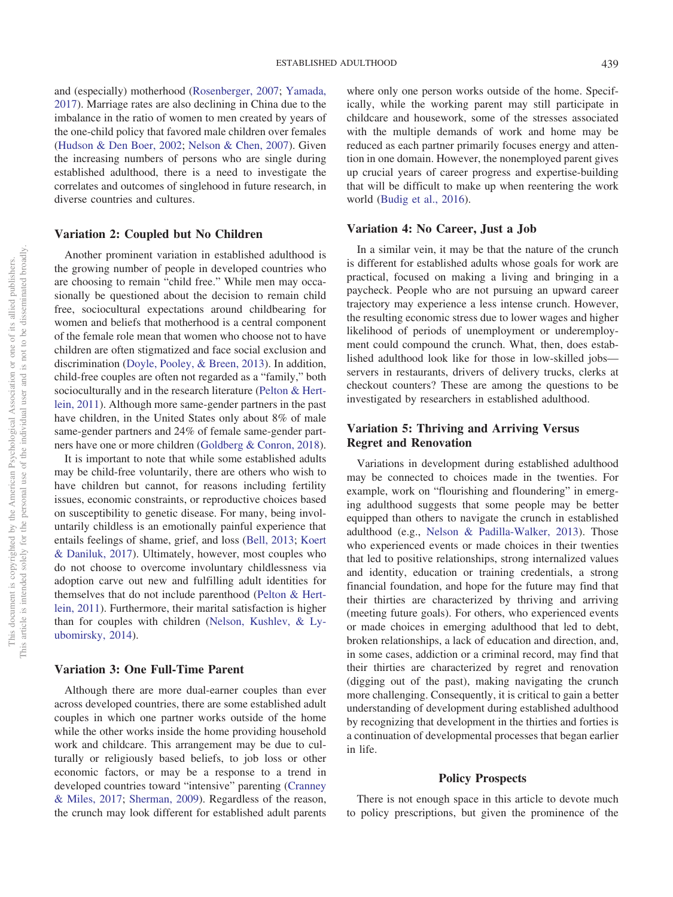and (especially) motherhood [\(Rosenberger, 2007;](#page-13-30) [Yamada,](#page-14-7) [2017\)](#page-14-7). Marriage rates are also declining in China due to the imbalance in the ratio of women to men created by years of the one-child policy that favored male children over females [\(Hudson & Den Boer, 2002;](#page-13-31) [Nelson & Chen, 2007\)](#page-13-32). Given the increasing numbers of persons who are single during established adulthood, there is a need to investigate the correlates and outcomes of singlehood in future research, in diverse countries and cultures.

## **Variation 2: Coupled but No Children**

Another prominent variation in established adulthood is the growing number of people in developed countries who are choosing to remain "child free." While men may occasionally be questioned about the decision to remain child free, sociocultural expectations around childbearing for women and beliefs that motherhood is a central component of the female role mean that women who choose not to have children are often stigmatized and face social exclusion and discrimination [\(Doyle, Pooley, & Breen, 2013\)](#page-12-33). In addition, child-free couples are often not regarded as a "family," both socioculturally and in the research literature [\(Pelton & Hert](#page-13-33)[lein, 2011\)](#page-13-33). Although more same-gender partners in the past have children, in the United States only about 8% of male same-gender partners and 24% of female same-gender partners have one or more children [\(Goldberg & Conron, 2018\)](#page-12-34).

It is important to note that while some established adults may be child-free voluntarily, there are others who wish to have children but cannot, for reasons including fertility issues, economic constraints, or reproductive choices based on susceptibility to genetic disease. For many, being involuntarily childless is an emotionally painful experience that entails feelings of shame, grief, and loss [\(Bell, 2013;](#page-12-35) [Koert](#page-13-34) [& Daniluk, 2017\)](#page-13-34). Ultimately, however, most couples who do not choose to overcome involuntary childlessness via adoption carve out new and fulfilling adult identities for themselves that do not include parenthood [\(Pelton & Hert](#page-13-33)[lein, 2011\)](#page-13-33). Furthermore, their marital satisfaction is higher than for couples with children [\(Nelson, Kushlev, & Ly](#page-13-35)[ubomirsky, 2014\)](#page-13-35).

#### **Variation 3: One Full-Time Parent**

Although there are more dual-earner couples than ever across developed countries, there are some established adult couples in which one partner works outside of the home while the other works inside the home providing household work and childcare. This arrangement may be due to culturally or religiously based beliefs, to job loss or other economic factors, or may be a response to a trend in developed countries toward "intensive" parenting [\(Cranney](#page-12-36) [& Miles, 2017;](#page-12-36) [Sherman, 2009\)](#page-13-36). Regardless of the reason, the crunch may look different for established adult parents where only one person works outside of the home. Specifically, while the working parent may still participate in childcare and housework, some of the stresses associated with the multiple demands of work and home may be reduced as each partner primarily focuses energy and attention in one domain. However, the nonemployed parent gives up crucial years of career progress and expertise-building that will be difficult to make up when reentering the work world [\(Budig et al., 2016\)](#page-12-24).

## **Variation 4: No Career, Just a Job**

In a similar vein, it may be that the nature of the crunch is different for established adults whose goals for work are practical, focused on making a living and bringing in a paycheck. People who are not pursuing an upward career trajectory may experience a less intense crunch. However, the resulting economic stress due to lower wages and higher likelihood of periods of unemployment or underemployment could compound the crunch. What, then, does established adulthood look like for those in low-skilled jobs servers in restaurants, drivers of delivery trucks, clerks at checkout counters? These are among the questions to be investigated by researchers in established adulthood.

# **Variation 5: Thriving and Arriving Versus Regret and Renovation**

Variations in development during established adulthood may be connected to choices made in the twenties. For example, work on "flourishing and floundering" in emerging adulthood suggests that some people may be better equipped than others to navigate the crunch in established adulthood (e.g., [Nelson & Padilla-Walker, 2013\)](#page-13-37). Those who experienced events or made choices in their twenties that led to positive relationships, strong internalized values and identity, education or training credentials, a strong financial foundation, and hope for the future may find that their thirties are characterized by thriving and arriving (meeting future goals). For others, who experienced events or made choices in emerging adulthood that led to debt, broken relationships, a lack of education and direction, and, in some cases, addiction or a criminal record, may find that their thirties are characterized by regret and renovation (digging out of the past), making navigating the crunch more challenging. Consequently, it is critical to gain a better understanding of development during established adulthood by recognizing that development in the thirties and forties is a continuation of developmental processes that began earlier in life.

## **Policy Prospects**

There is not enough space in this article to devote much to policy prescriptions, but given the prominence of the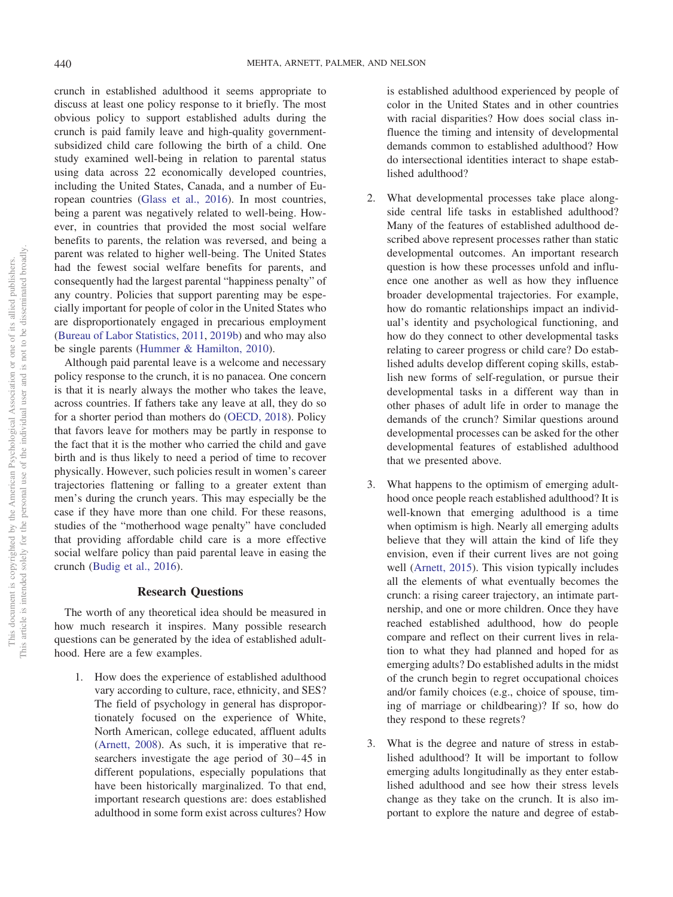crunch in established adulthood it seems appropriate to discuss at least one policy response to it briefly. The most obvious policy to support established adults during the crunch is paid family leave and high-quality governmentsubsidized child care following the birth of a child. One study examined well-being in relation to parental status using data across 22 economically developed countries, including the United States, Canada, and a number of European countries [\(Glass et al., 2016\)](#page-12-27). In most countries, being a parent was negatively related to well-being. However, in countries that provided the most social welfare benefits to parents, the relation was reversed, and being a parent was related to higher well-being. The United States had the fewest social welfare benefits for parents, and consequently had the largest parental "happiness penalty" of any country. Policies that support parenting may be especially important for people of color in the United States who are disproportionately engaged in precarious employment [\(Bureau of Labor Statistics, 2011,](#page-12-8) [2019b\)](#page-12-9) and who may also be single parents [\(Hummer & Hamilton, 2010\)](#page-13-12).

Although paid parental leave is a welcome and necessary policy response to the crunch, it is no panacea. One concern is that it is nearly always the mother who takes the leave, across countries. If fathers take any leave at all, they do so for a shorter period than mothers do [\(OECD, 2018\)](#page-13-27). Policy that favors leave for mothers may be partly in response to the fact that it is the mother who carried the child and gave birth and is thus likely to need a period of time to recover physically. However, such policies result in women's career trajectories flattening or falling to a greater extent than men's during the crunch years. This may especially be the case if they have more than one child. For these reasons, studies of the "motherhood wage penalty" have concluded that providing affordable child care is a more effective social welfare policy than paid parental leave in easing the crunch [\(Budig et al., 2016\)](#page-12-24).

## **Research Questions**

The worth of any theoretical idea should be measured in how much research it inspires. Many possible research questions can be generated by the idea of established adulthood. Here are a few examples.

1. How does the experience of established adulthood vary according to culture, race, ethnicity, and SES? The field of psychology in general has disproportionately focused on the experience of White, North American, college educated, affluent adults [\(Arnett, 2008\)](#page-11-2). As such, it is imperative that researchers investigate the age period of 30–45 in different populations, especially populations that have been historically marginalized. To that end, important research questions are: does established adulthood in some form exist across cultures? How

is established adulthood experienced by people of color in the United States and in other countries with racial disparities? How does social class influence the timing and intensity of developmental demands common to established adulthood? How do intersectional identities interact to shape established adulthood?

- 2. What developmental processes take place alongside central life tasks in established adulthood? Many of the features of established adulthood described above represent processes rather than static developmental outcomes. An important research question is how these processes unfold and influence one another as well as how they influence broader developmental trajectories. For example, how do romantic relationships impact an individual's identity and psychological functioning, and how do they connect to other developmental tasks relating to career progress or child care? Do established adults develop different coping skills, establish new forms of self-regulation, or pursue their developmental tasks in a different way than in other phases of adult life in order to manage the demands of the crunch? Similar questions around developmental processes can be asked for the other developmental features of established adulthood that we presented above.
- 3. What happens to the optimism of emerging adulthood once people reach established adulthood? It is well-known that emerging adulthood is a time when optimism is high. Nearly all emerging adults believe that they will attain the kind of life they envision, even if their current lives are not going well [\(Arnett, 2015\)](#page-11-1). This vision typically includes all the elements of what eventually becomes the crunch: a rising career trajectory, an intimate partnership, and one or more children. Once they have reached established adulthood, how do people compare and reflect on their current lives in relation to what they had planned and hoped for as emerging adults? Do established adults in the midst of the crunch begin to regret occupational choices and/or family choices (e.g., choice of spouse, timing of marriage or childbearing)? If so, how do they respond to these regrets?
- 3. What is the degree and nature of stress in established adulthood? It will be important to follow emerging adults longitudinally as they enter established adulthood and see how their stress levels change as they take on the crunch. It is also important to explore the nature and degree of estab-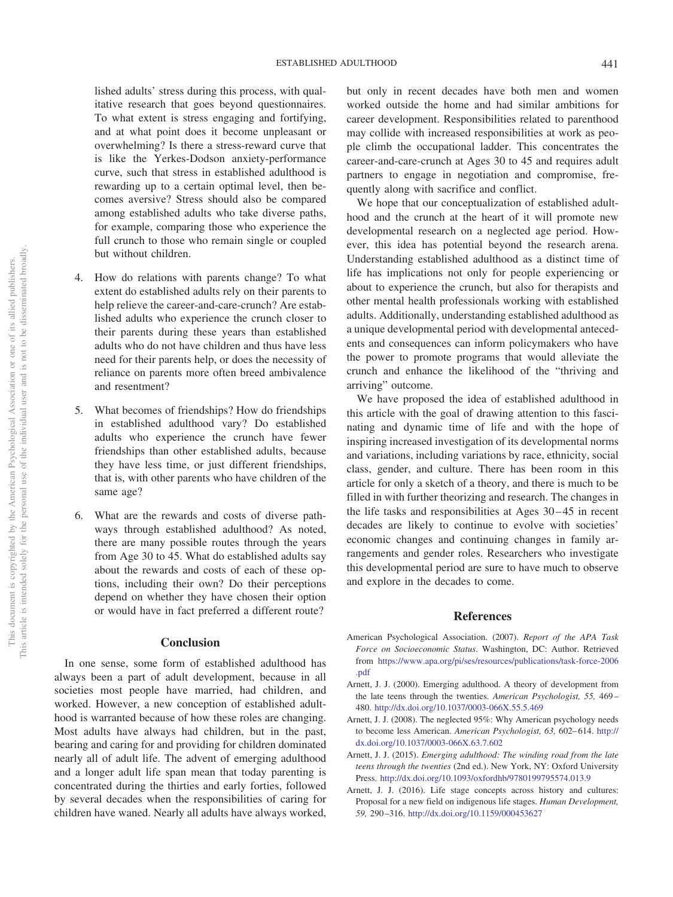lished adults' stress during this process, with qualitative research that goes beyond questionnaires. To what extent is stress engaging and fortifying, and at what point does it become unpleasant or overwhelming? Is there a stress-reward curve that is like the Yerkes-Dodson anxiety-performance curve, such that stress in established adulthood is rewarding up to a certain optimal level, then becomes aversive? Stress should also be compared among established adults who take diverse paths, for example, comparing those who experience the full crunch to those who remain single or coupled but without children.

- 4. How do relations with parents change? To what extent do established adults rely on their parents to help relieve the career-and-care-crunch? Are established adults who experience the crunch closer to their parents during these years than established adults who do not have children and thus have less need for their parents help, or does the necessity of reliance on parents more often breed ambivalence and resentment?
- 5. What becomes of friendships? How do friendships in established adulthood vary? Do established adults who experience the crunch have fewer friendships than other established adults, because they have less time, or just different friendships, that is, with other parents who have children of the same age?
- 6. What are the rewards and costs of diverse pathways through established adulthood? As noted, there are many possible routes through the years from Age 30 to 45. What do established adults say about the rewards and costs of each of these options, including their own? Do their perceptions depend on whether they have chosen their option or would have in fact preferred a different route?

#### **Conclusion**

In one sense, some form of established adulthood has always been a part of adult development, because in all societies most people have married, had children, and worked. However, a new conception of established adulthood is warranted because of how these roles are changing. Most adults have always had children, but in the past, bearing and caring for and providing for children dominated nearly all of adult life. The advent of emerging adulthood and a longer adult life span mean that today parenting is concentrated during the thirties and early forties, followed by several decades when the responsibilities of caring for children have waned. Nearly all adults have always worked, but only in recent decades have both men and women worked outside the home and had similar ambitions for career development. Responsibilities related to parenthood may collide with increased responsibilities at work as people climb the occupational ladder. This concentrates the career-and-care-crunch at Ages 30 to 45 and requires adult partners to engage in negotiation and compromise, frequently along with sacrifice and conflict.

We hope that our conceptualization of established adulthood and the crunch at the heart of it will promote new developmental research on a neglected age period. However, this idea has potential beyond the research arena. Understanding established adulthood as a distinct time of life has implications not only for people experiencing or about to experience the crunch, but also for therapists and other mental health professionals working with established adults. Additionally, understanding established adulthood as a unique developmental period with developmental antecedents and consequences can inform policymakers who have the power to promote programs that would alleviate the crunch and enhance the likelihood of the "thriving and arriving" outcome.

We have proposed the idea of established adulthood in this article with the goal of drawing attention to this fascinating and dynamic time of life and with the hope of inspiring increased investigation of its developmental norms and variations, including variations by race, ethnicity, social class, gender, and culture. There has been room in this article for only a sketch of a theory, and there is much to be filled in with further theorizing and research. The changes in the life tasks and responsibilities at Ages 30 – 45 in recent decades are likely to continue to evolve with societies' economic changes and continuing changes in family arrangements and gender roles. Researchers who investigate this developmental period are sure to have much to observe and explore in the decades to come.

#### **References**

- <span id="page-11-4"></span>American Psychological Association. (2007). *Report of the APA Task Force on Socioeconomic Status*. Washington, DC: Author. Retrieved from [https://www.apa.org/pi/ses/resources/publications/task-force-2006](http://www.apa.org/pi/ses/resources/publications/task-force-2006.pdf) [.pdf](http://www.apa.org/pi/ses/resources/publications/task-force-2006.pdf)
- <span id="page-11-0"></span>Arnett, J. J. (2000). Emerging adulthood. A theory of development from the late teens through the twenties. *American Psychologist, 55,* 469 – 480. <http://dx.doi.org/10.1037/0003-066X.55.5.469>
- <span id="page-11-2"></span>Arnett, J. J. (2008). The neglected 95%: Why American psychology needs to become less American. American Psychologist, 63, 602-614. [http://](http://dx.doi.org/10.1037/0003-066X.63.7.602) [dx.doi.org/10.1037/0003-066X.63.7.602](http://dx.doi.org/10.1037/0003-066X.63.7.602)
- <span id="page-11-1"></span>Arnett, J. J. (2015). *Emerging adulthood: The winding road from the late teens through the twenties* (2nd ed.). New York, NY: Oxford University Press. <http://dx.doi.org/10.1093/oxfordhb/9780199795574.013.9>
- <span id="page-11-3"></span>Arnett, J. J. (2016). Life stage concepts across history and cultures: Proposal for a new field on indigenous life stages. *Human Development, 59,* 290 –316. <http://dx.doi.org/10.1159/000453627>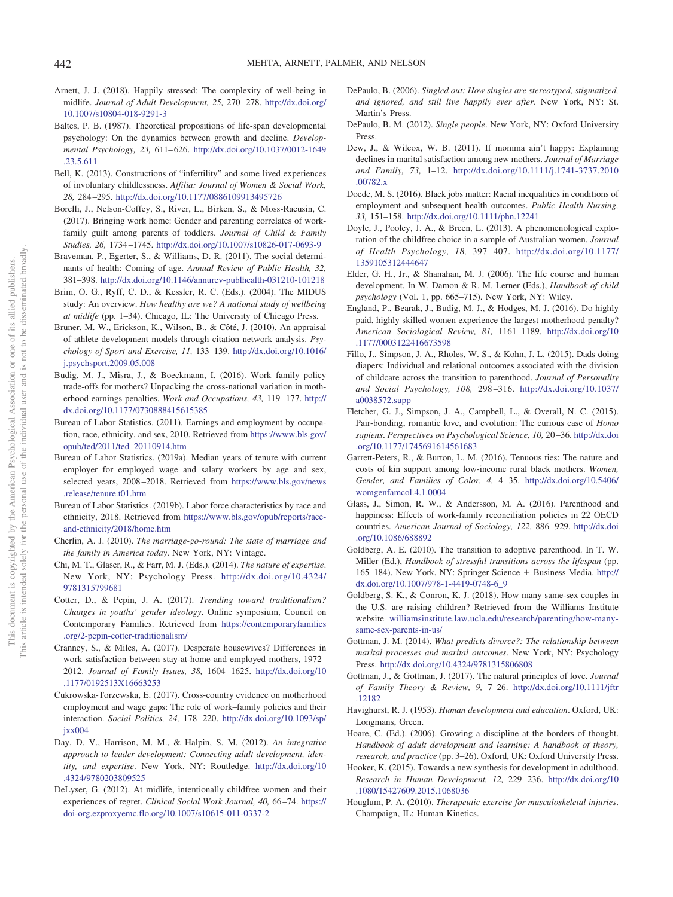- <span id="page-12-14"></span>Arnett, J. J. (2018). Happily stressed: The complexity of well-being in midlife. *Journal of Adult Development, 25,* 270 –278. [http://dx.doi.org/](http://dx.doi.org/10.1007/s10804-018-9291-3) [10.1007/s10804-018-9291-3](http://dx.doi.org/10.1007/s10804-018-9291-3)
- <span id="page-12-4"></span>Baltes, P. B. (1987). Theoretical propositions of life-span developmental psychology: On the dynamics between growth and decline. *Developmental Psychology, 23,* 611– 626. [http://dx.doi.org/10.1037/0012-1649](http://dx.doi.org/10.1037/0012-1649.23.5.611) [.23.5.611](http://dx.doi.org/10.1037/0012-1649.23.5.611)
- <span id="page-12-35"></span>Bell, K. (2013). Constructions of "infertility" and some lived experiences of involuntary childlessness. *Affilia: Journal of Women & Social Work, 28,* 284 –295. <http://dx.doi.org/10.1177/0886109913495726>
- <span id="page-12-19"></span>Borelli, J., Nelson-Coffey, S., River, L., Birken, S., & Moss-Racusin, C. (2017). Bringing work home: Gender and parenting correlates of workfamily guilt among parents of toddlers. *Journal of Child & Family Studies, 26,* 1734 –1745. <http://dx.doi.org/10.1007/s10826-017-0693-9>
- <span id="page-12-13"></span>Braveman, P., Egerter, S., & Williams, D. R. (2011). The social determinants of health: Coming of age. *Annual Review of Public Health, 32,* 381–398. <http://dx.doi.org/10.1146/annurev-publhealth-031210-101218>
- <span id="page-12-0"></span>Brim, O. G., Ryff, C. D., & Kessler, R. C. (Eds.). (2004). The MIDUS study: An overview. *How healthy are we? A national study of wellbeing at midlife* (pp. 1–34). Chicago, IL: The University of Chicago Press.
- <span id="page-12-11"></span>Bruner, M. W., Erickson, K., Wilson, B., & Côté, J. (2010). An appraisal of athlete development models through citation network analysis. *Psychology of Sport and Exercise, 11,* 133–139. [http://dx.doi.org/10.1016/](http://dx.doi.org/10.1016/j.psychsport.2009.05.008) [j.psychsport.2009.05.008](http://dx.doi.org/10.1016/j.psychsport.2009.05.008)
- <span id="page-12-24"></span>Budig, M. J., Misra, J., & Boeckmann, I. (2016). Work–family policy trade-offs for mothers? Unpacking the cross-national variation in motherhood earnings penalties. *Work and Occupations, 43,* 119 –177. [http://](http://dx.doi.org/10.1177/0730888415615385) [dx.doi.org/10.1177/0730888415615385](http://dx.doi.org/10.1177/0730888415615385)
- <span id="page-12-8"></span>Bureau of Labor Statistics. (2011). Earnings and employment by occupation, race, ethnicity, and sex, 2010. Retrieved from [https://www.bls.gov/](https://www.bls.gov/opub/ted/2011/ted_20110914.htm) [opub/ted/2011/ted\\_20110914.htm](https://www.bls.gov/opub/ted/2011/ted_20110914.htm)
- <span id="page-12-6"></span>Bureau of Labor Statistics. (2019a). Median years of tenure with current employer for employed wage and salary workers by age and sex, selected years, 2008 –2018. Retrieved from [https://www.bls.gov/news](https://www.bls.gov/news.release/tenure.t01.htm) [.release/tenure.t01.htm](https://www.bls.gov/news.release/tenure.t01.htm)
- <span id="page-12-9"></span>Bureau of Labor Statistics. (2019b). Labor force characteristics by race and ethnicity, 2018. Retrieved from [https://www.bls.gov/opub/reports/race](https://www.bls.gov/opub/reports/race-and-ethnicity/2018/home.htm)[and-ethnicity/2018/home.htm](https://www.bls.gov/opub/reports/race-and-ethnicity/2018/home.htm)
- <span id="page-12-16"></span>Cherlin, A. J. (2010). *The marriage-go-round: The state of marriage and the family in America today*. New York, NY: Vintage.
- <span id="page-12-15"></span>Chi, M. T., Glaser, R., & Farr, M. J. (Eds.). (2014). *The nature of expertise*. New York, NY: Psychology Press. [http://dx.doi.org/10.4324/](http://dx.doi.org/10.4324/9781315799681) [9781315799681](http://dx.doi.org/10.4324/9781315799681)
- <span id="page-12-22"></span>Cotter, D., & Pepin, J. A. (2017). *Trending toward traditionalism? Changes in youths' gender ideology*. Online symposium, Council on Contemporary Families. Retrieved from [https://contemporaryfamilies](https://contemporaryfamilies.org/2-pepin-cotter-traditionalism/) [.org/2-pepin-cotter-traditionalism/](https://contemporaryfamilies.org/2-pepin-cotter-traditionalism/)
- <span id="page-12-36"></span>Cranney, S., & Miles, A. (2017). Desperate housewives? Differences in work satisfaction between stay-at-home and employed mothers, 1972– 2012. *Journal of Family Issues, 38,* 1604 –1625. [http://dx.doi.org/10](http://dx.doi.org/10.1177/0192513X16663253) [.1177/0192513X16663253](http://dx.doi.org/10.1177/0192513X16663253)
- <span id="page-12-26"></span>Cukrowska-Torzewska, E. (2017). Cross-country evidence on motherhood employment and wage gaps: The role of work–family policies and their interaction. *Social Politics, 24,* 178 –220. [http://dx.doi.org/10.1093/sp/](http://dx.doi.org/10.1093/sp/jxx004) [jxx004](http://dx.doi.org/10.1093/sp/jxx004)
- <span id="page-12-7"></span>Day, D. V., Harrison, M. M., & Halpin, S. M. (2012). *An integrative approach to leader development: Connecting adult development, identity, and expertise*. New York, NY: Routledge. [http://dx.doi.org/10](http://dx.doi.org/10.4324/9780203809525) [.4324/9780203809525](http://dx.doi.org/10.4324/9780203809525)
- <span id="page-12-30"></span>DeLyser, G. (2012). At midlife, intentionally childfree women and their experiences of regret. *Clinical Social Work Journal, 40,* 66 –74. [https://](https://doi-org.ezproxyemc.flo.org/10.1007/s10615-011-0337-2) [doi-org.ezproxyemc.flo.org/10.1007/s10615-011-0337-2](https://doi-org.ezproxyemc.flo.org/10.1007/s10615-011-0337-2)
- <span id="page-12-31"></span>DePaulo, B. (2006). *Singled out: How singles are stereotyped, stigmatized, and ignored, and still live happily ever after*. New York, NY: St. Martin's Press.
- <span id="page-12-32"></span>DePaulo, B. M. (2012). *Single people*. New York, NY: Oxford University Press.
- <span id="page-12-23"></span>Dew, J., & Wilcox, W. B. (2011). If momma ain't happy: Explaining declines in marital satisfaction among new mothers. *Journal of Marriage and Family, 73,* 1–12. [http://dx.doi.org/10.1111/j.1741-3737.2010](http://dx.doi.org/10.1111/j.1741-3737.2010.00782.x) [.00782.x](http://dx.doi.org/10.1111/j.1741-3737.2010.00782.x)
- <span id="page-12-10"></span>Doede, M. S. (2016). Black jobs matter: Racial inequalities in conditions of employment and subsequent health outcomes. *Public Health Nursing, 33,* 151–158. <http://dx.doi.org/10.1111/phn.12241>
- <span id="page-12-33"></span>Doyle, J., Pooley, J. A., & Breen, L. (2013). A phenomenological exploration of the childfree choice in a sample of Australian women. *Journal of Health Psychology, 18,* 397– 407. [http://dx.doi.org/10.1177/](http://dx.doi.org/10.1177/1359105312444647) [1359105312444647](http://dx.doi.org/10.1177/1359105312444647)
- <span id="page-12-1"></span>Elder, G. H., Jr., & Shanahan, M. J. (2006). The life course and human development. In W. Damon & R. M. Lerner (Eds.), *Handbook of child psychology* (Vol. 1, pp. 665–715). New York, NY: Wiley.
- <span id="page-12-25"></span>England, P., Bearak, J., Budig, M. J., & Hodges, M. J. (2016). Do highly paid, highly skilled women experience the largest motherhood penalty? *American Sociological Review, 81,* 1161–1189. [http://dx.doi.org/10](http://dx.doi.org/10.1177/0003122416673598) [.1177/0003122416673598](http://dx.doi.org/10.1177/0003122416673598)
- <span id="page-12-17"></span>Fillo, J., Simpson, J. A., Rholes, W. S., & Kohn, J. L. (2015). Dads doing diapers: Individual and relational outcomes associated with the division of childcare across the transition to parenthood. *Journal of Personality and Social Psychology, 108,* 298 –316. [http://dx.doi.org/10.1037/](http://dx.doi.org/10.1037/a0038572.supp) [a0038572.supp](http://dx.doi.org/10.1037/a0038572.supp)
- <span id="page-12-29"></span>Fletcher, G. J., Simpson, J. A., Campbell, L., & Overall, N. C. (2015). Pair-bonding, romantic love, and evolution: The curious case of *Homo sapiens*. *Perspectives on Psychological Science, 10,* 20 –36. [http://dx.doi](http://dx.doi.org/10.1177/1745691614561683) [.org/10.1177/1745691614561683](http://dx.doi.org/10.1177/1745691614561683)
- <span id="page-12-28"></span>Garrett-Peters, R., & Burton, L. M. (2016). Tenuous ties: The nature and costs of kin support among low-income rural black mothers. *Women, Gender, and Families of Color, 4,* 4 –35. [http://dx.doi.org/10.5406/](http://dx.doi.org/10.5406/womgenfamcol.4.1.0004) [womgenfamcol.4.1.0004](http://dx.doi.org/10.5406/womgenfamcol.4.1.0004)
- <span id="page-12-27"></span>Glass, J., Simon, R. W., & Andersson, M. A. (2016). Parenthood and happiness: Effects of work-family reconciliation policies in 22 OECD countries. *American Journal of Sociology, 122,* 886 –929. [http://dx.doi](http://dx.doi.org/10.1086/688892) [.org/10.1086/688892](http://dx.doi.org/10.1086/688892)
- <span id="page-12-18"></span>Goldberg, A. E. (2010). The transition to adoptive parenthood. In T. W. Miller (Ed.), *Handbook of stressful transitions across the lifespan* (pp. 165–184). New York, NY: Springer Science + Business Media. [http://](http://dx.doi.org/10.1007/978-1-4419-0748-6_9) [dx.doi.org/10.1007/978-1-4419-0748-6\\_9](http://dx.doi.org/10.1007/978-1-4419-0748-6_9)
- <span id="page-12-34"></span>Goldberg, S. K., & Conron, K. J. (2018). How many same-sex couples in the U.S. are raising children? Retrieved from the Williams Institute website [williamsinstitute.law.ucla.edu/research/parenting/how-many](http://williamsinstitute.law.ucla.edu/research/parenting/how-many-same-sex-parents-in-us/)[same-sex-parents-in-us/](http://williamsinstitute.law.ucla.edu/research/parenting/how-many-same-sex-parents-in-us/)
- <span id="page-12-20"></span>Gottman, J. M. (2014). *What predicts divorce?: The relationship between marital processes and marital outcomes*. New York, NY: Psychology Press. <http://dx.doi.org/10.4324/9781315806808>
- <span id="page-12-21"></span>Gottman, J., & Gottman, J. (2017). The natural principles of love. *Journal of Family Theory & Review, 9,* 7–26. [http://dx.doi.org/10.1111/jftr](http://dx.doi.org/10.1111/jftr.12182) [.12182](http://dx.doi.org/10.1111/jftr.12182)
- <span id="page-12-5"></span>Havighurst, R. J. (1953). *Human development and education*. Oxford, UK: Longmans, Green.
- <span id="page-12-2"></span>Hoare, C. (Ed.). (2006). Growing a discipline at the borders of thought. *Handbook of adult development and learning: A handbook of theory, research, and practice* (pp. 3–26). Oxford, UK: Oxford University Press.
- <span id="page-12-3"></span>Hooker, K. (2015). Towards a new synthesis for development in adulthood. *Research in Human Development, 12,* 229 –236. [http://dx.doi.org/10](http://dx.doi.org/10.1080/15427609.2015.1068036) [.1080/15427609.2015.1068036](http://dx.doi.org/10.1080/15427609.2015.1068036)
- <span id="page-12-12"></span>Houglum, P. A. (2010). *Therapeutic exercise for musculoskeletal injuries*. Champaign, IL: Human Kinetics.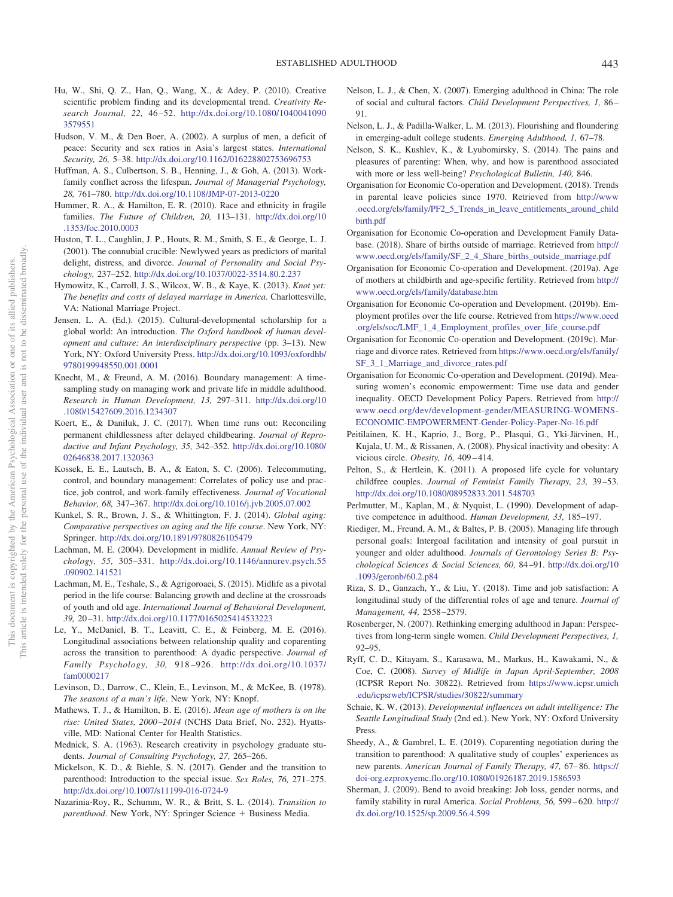- <span id="page-13-17"></span>Hu, W., Shi, Q. Z., Han, Q., Wang, X., & Adey, P. (2010). Creative scientific problem finding and its developmental trend. *Creativity Research Journal, 22,* 46 –52. [http://dx.doi.org/10.1080/1040041090](http://dx.doi.org/10.1080/10400410903579551) [3579551](http://dx.doi.org/10.1080/10400410903579551)
- <span id="page-13-31"></span>Hudson, V. M., & Den Boer, A. (2002). A surplus of men, a deficit of peace: Security and sex ratios in Asia's largest states. *International Security, 26,* 5–38. <http://dx.doi.org/10.1162/016228802753696753>
- <span id="page-13-20"></span>Huffman, A. S., Culbertson, S. B., Henning, J., & Goh, A. (2013). Workfamily conflict across the lifespan. *Journal of Managerial Psychology, 28,* 761–780. <http://dx.doi.org/10.1108/JMP-07-2013-0220>
- <span id="page-13-12"></span>Hummer, R. A., & Hamilton, E. R. (2010). Race and ethnicity in fragile families. *The Future of Children, 20,* 113–131. [http://dx.doi.org/10](http://dx.doi.org/10.1353/foc.2010.0003) [.1353/foc.2010.0003](http://dx.doi.org/10.1353/foc.2010.0003)
- <span id="page-13-22"></span>Huston, T. L., Caughlin, J. P., Houts, R. M., Smith, S. E., & George, L. J. (2001). The connubial crucible: Newlywed years as predictors of marital delight, distress, and divorce. *Journal of Personality and Social Psychology,* 237–252. <http://dx.doi.org/10.1037/0022-3514.80.2.237>
- <span id="page-13-29"></span>Hymowitz, K., Carroll, J. S., Wilcox, W. B., & Kaye, K. (2013). *Knot yet: The benefits and costs of delayed marriage in America*. Charlottesville, VA: National Marriage Project.
- <span id="page-13-5"></span>Jensen, L. A. (Ed.). (2015). Cultural-developmental scholarship for a global world: An introduction. *The Oxford handbook of human development and culture: An interdisciplinary perspective* (pp. 3–13). New York, NY: Oxford University Press. [http://dx.doi.org/10.1093/oxfordhb/](http://dx.doi.org/10.1093/oxfordhb/9780199948550.001.0001) [9780199948550.001.0001](http://dx.doi.org/10.1093/oxfordhb/9780199948550.001.0001)
- <span id="page-13-4"></span>Knecht, M., & Freund, A. M. (2016). Boundary management: A timesampling study on managing work and private life in middle adulthood. *Research in Human Development, 13,* 297–311. [http://dx.doi.org/10](http://dx.doi.org/10.1080/15427609.2016.1234307) [.1080/15427609.2016.1234307](http://dx.doi.org/10.1080/15427609.2016.1234307)
- <span id="page-13-34"></span>Koert, E., & Daniluk, J. C. (2017). When time runs out: Reconciling permanent childlessness after delayed childbearing. *Journal of Reproductive and Infant Psychology, 35,* 342–352. [http://dx.doi.org/10.1080/](http://dx.doi.org/10.1080/02646838.2017.1320363) [02646838.2017.1320363](http://dx.doi.org/10.1080/02646838.2017.1320363)
- <span id="page-13-21"></span>Kossek, E. E., Lautsch, B. A., & Eaton, S. C. (2006). Telecommuting, control, and boundary management: Correlates of policy use and practice, job control, and work-family effectiveness. *Journal of Vocational Behavior, 68,* 347–367. <http://dx.doi.org/10.1016/j.jvb.2005.07.002>
- <span id="page-13-2"></span>Kunkel, S. R., Brown, J. S., & Whittington, F. J. (2014). *Global aging: Comparative perspectives on aging and the life course*. New York, NY: Springer. <http://dx.doi.org/10.1891/9780826105479>
- <span id="page-13-3"></span>Lachman, M. E. (2004). Development in midlife. *Annual Review of Psychology, 55,* 305–331. [http://dx.doi.org/10.1146/annurev.psych.55](http://dx.doi.org/10.1146/annurev.psych.55.090902.141521) [.090902.141521](http://dx.doi.org/10.1146/annurev.psych.55.090902.141521)
- <span id="page-13-1"></span>Lachman, M. E., Teshale, S., & Agrigoroaei, S. (2015). Midlife as a pivotal period in the life course: Balancing growth and decline at the crossroads of youth and old age. *International Journal of Behavioral Development, 39,* 20 –31. <http://dx.doi.org/10.1177/0165025414533223>
- <span id="page-13-26"></span>Le, Y., McDaniel, B. T., Leavitt, C. E., & Feinberg, M. E. (2016). Longitudinal associations between relationship quality and coparenting across the transition to parenthood: A dyadic perspective. *Journal of Family Psychology, 30,* 918 –926. [http://dx.doi.org/10.1037/](http://dx.doi.org/10.1037/fam0000217) [fam0000217](http://dx.doi.org/10.1037/fam0000217)
- <span id="page-13-6"></span>Levinson, D., Darrow, C., Klein, E., Levinson, M., & McKee, B. (1978). *The seasons of a man's life*. New York, NY: Knopf.
- <span id="page-13-11"></span>Mathews, T. J., & Hamilton, B. E. (2016). *Mean age of mothers is on the rise: United States, 2000 –2014* (NCHS Data Brief, No. 232). Hyattsville, MD: National Center for Health Statistics.
- <span id="page-13-18"></span>Mednick, S. A. (1963). Research creativity in psychology graduate students. *Journal of Consulting Psychology, 27,* 265–266.
- <span id="page-13-24"></span>Mickelson, K. D., & Biehle, S. N. (2017). Gender and the transition to parenthood: Introduction to the special issue. *Sex Roles, 76,* 271–275. <http://dx.doi.org/10.1007/s11199-016-0724-9>
- <span id="page-13-25"></span>Nazarinia-Roy, R., Schumm, W. R., & Britt, S. L. (2014). *Transition to parenthood*. New York, NY: Springer Science + Business Media.
- <span id="page-13-32"></span>Nelson, L. J., & Chen, X. (2007). Emerging adulthood in China: The role of social and cultural factors. *Child Development Perspectives, 1,* 86 – 91.
- <span id="page-13-37"></span>Nelson, L. J., & Padilla-Walker, L. M. (2013). Flourishing and floundering in emerging-adult college students. *Emerging Adulthood, 1,* 67–78.
- <span id="page-13-35"></span>Nelson, S. K., Kushlev, K., & Lyubomirsky, S. (2014). The pains and pleasures of parenting: When, why, and how is parenthood associated with more or less well-being? *Psychological Bulletin, 140,* 846.
- <span id="page-13-27"></span>Organisation for Economic Co-operation and Development. (2018). Trends in parental leave policies since 1970. Retrieved from [http://www](http://www.oecd.org/els/family/PF2_5_Trends_in_leave_entitlements_around_childbirth.pdf) [.oecd.org/els/family/PF2\\_5\\_Trends\\_in\\_leave\\_entitlements\\_around\\_child](http://www.oecd.org/els/family/PF2_5_Trends_in_leave_entitlements_around_childbirth.pdf) [birth.pdf](http://www.oecd.org/els/family/PF2_5_Trends_in_leave_entitlements_around_childbirth.pdf)
- <span id="page-13-10"></span>Organisation for Economic Co-operation and Development Family Database. (2018). Share of births outside of marriage. Retrieved from [http://](http://www.oecd.org/els/family/SF_2_4_Share_births_outside_marriage.pdf) [www.oecd.org/els/family/SF\\_2\\_4\\_Share\\_births\\_outside\\_marriage.pdf](http://www.oecd.org/els/family/SF_2_4_Share_births_outside_marriage.pdf)
- <span id="page-13-9"></span>Organisation for Economic Co-operation and Development. (2019a). Age of mothers at childbirth and age-specific fertility. Retrieved from [http://](http://www.oecd.org/els/family/database.htm) [www.oecd.org/els/family/database.htm](http://www.oecd.org/els/family/database.htm)
- <span id="page-13-7"></span>Organisation for Economic Co-operation and Development. (2019b). Employment profiles over the life course. Retrieved from [https://www.oecd](https://www.oecd.org/els/soc/LMF_1_4_Employment_profiles_over_life_course.pdf) [.org/els/soc/LMF\\_1\\_4\\_Employment\\_profiles\\_over\\_life\\_course.pdf](https://www.oecd.org/els/soc/LMF_1_4_Employment_profiles_over_life_course.pdf)
- <span id="page-13-8"></span>Organisation for Economic Co-operation and Development. (2019c). Marriage and divorce rates. Retrieved from [https://www.oecd.org/els/family/](https://www.oecd.org/els/family/SF_3_1_Marriage_and_divorce_rates.pdf) [SF\\_3\\_1\\_Marriage\\_and\\_divorce\\_rates.pdf](https://www.oecd.org/els/family/SF_3_1_Marriage_and_divorce_rates.pdf)
- <span id="page-13-28"></span>Organisation for Economic Co-operation and Development. (2019d). Measuring women's economic empowerment: Time use data and gender inequality. OECD Development Policy Papers. Retrieved from [http://](http://www.oecd.org/dev/development-gender/MEASURING-WOMENS-ECONOMIC-EMPOWERMENT-Gender-Policy-Paper-No-16.pdf) [www.oecd.org/dev/development-gender/MEASURING-WOMENS-](http://www.oecd.org/dev/development-gender/MEASURING-WOMENS-ECONOMIC-EMPOWERMENT-Gender-Policy-Paper-No-16.pdf)[ECONOMIC-EMPOWERMENT-Gender-Policy-Paper-No-16.pdf](http://www.oecd.org/dev/development-gender/MEASURING-WOMENS-ECONOMIC-EMPOWERMENT-Gender-Policy-Paper-No-16.pdf)
- <span id="page-13-14"></span>Peitilainen, K. H., Kaprio, J., Borg, P., Plasqui, G., Yki-Järvinen, H., Kujala, U. M., & Rissanen, A. (2008). Physical inactivity and obesity: A vicious circle. *Obesity, 16,* 409 – 414.
- <span id="page-13-33"></span>Pelton, S., & Hertlein, K. (2011). A proposed life cycle for voluntary childfree couples. *Journal of Feminist Family Therapy, 23,* 39 –53. <http://dx.doi.org/10.1080/08952833.2011.548703>
- <span id="page-13-16"></span>Perlmutter, M., Kaplan, M., & Nyquist, L. (1990). Development of adaptive competence in adulthood. *Human Development, 33,* 185–197.
- <span id="page-13-19"></span>Riediger, M., Freund, A. M., & Baltes, P. B. (2005). Managing life through personal goals: Intergoal facilitation and intensity of goal pursuit in younger and older adulthood. *Journals of Gerontology Series B: Psychological Sciences & Social Sciences, 60,* 84 –91. [http://dx.doi.org/10](http://dx.doi.org/10.1093/geronb/60.2.p84) [.1093/geronb/60.2.p84](http://dx.doi.org/10.1093/geronb/60.2.p84)
- <span id="page-13-13"></span>Riza, S. D., Ganzach, Y., & Liu, Y. (2018). Time and job satisfaction: A longitudinal study of the differential roles of age and tenure. *Journal of Management, 44,* 2558 –2579.
- <span id="page-13-30"></span>Rosenberger, N. (2007). Rethinking emerging adulthood in Japan: Perspectives from long-term single women. *Child Development Perspectives, 1,* 92–95.
- <span id="page-13-0"></span>Ryff, C. D., Kitayam, S., Karasawa, M., Markus, H., Kawakami, N., & Coe, C. (2008). *Survey of Midlife in Japan April-September, 2008* (ICPSR Report No. 30822). Retrieved from [https://www.icpsr.umich](https://www.icpsr.umich.edu/icpsrweb/ICPSR/studies/30822/summary) [.edu/icpsrweb/ICPSR/studies/30822/summary](https://www.icpsr.umich.edu/icpsrweb/ICPSR/studies/30822/summary)
- <span id="page-13-15"></span>Schaie, K. W. (2013). *Developmental influences on adult intelligence: The Seattle Longitudinal Study* (2nd ed.). New York, NY: Oxford University Press.
- <span id="page-13-23"></span>Sheedy, A., & Gambrel, L. E. (2019). Coparenting negotiation during the transition to parenthood: A qualitative study of couples' experiences as new parents. *American Journal of Family Therapy, 47,* 67– 86. [https://](https://doi-org.ezproxyemc.flo.org/10.1080/01926187.2019.1586593) [doi-org.ezproxyemc.flo.org/10.1080/01926187.2019.1586593](https://doi-org.ezproxyemc.flo.org/10.1080/01926187.2019.1586593)
- <span id="page-13-36"></span>Sherman, J. (2009). Bend to avoid breaking: Job loss, gender norms, and family stability in rural America. *Social Problems, 56,* 599 – 620. [http://](http://dx.doi.org/10.1525/sp.2009.56.4.599) [dx.doi.org/10.1525/sp.2009.56.4.599](http://dx.doi.org/10.1525/sp.2009.56.4.599)